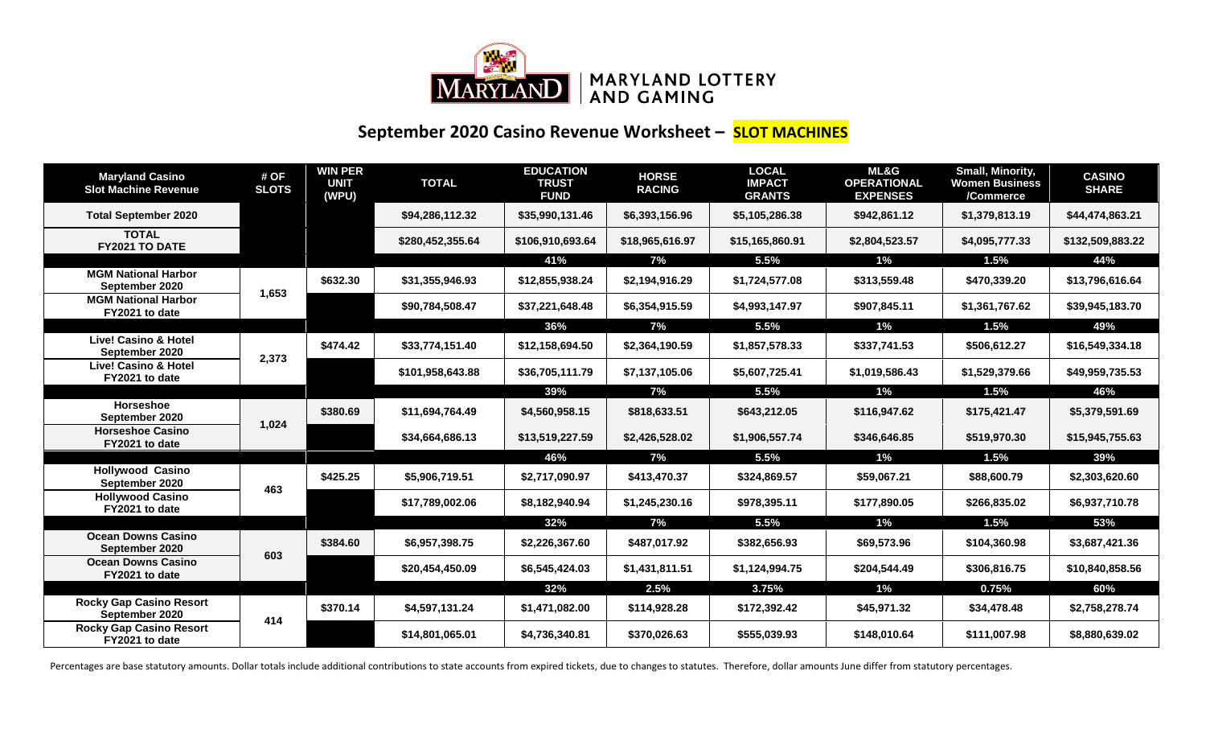

## **September 2020 Casino Revenue Worksheet – SLOT MACHINES**

| <b>Maryland Casino</b><br><b>Slot Machine Revenue</b> | # OF<br><b>SLOTS</b> | <b>WIN PER</b><br><b>UNIT</b><br>(WPU) | <b>TOTAL</b>     | <b>EDUCATION</b><br><b>TRUST</b><br><b>FUND</b> | <b>HORSE</b><br><b>RACING</b> | <b>LOCAL</b><br><b>IMPACT</b><br><b>GRANTS</b> | ML&G<br><b>OPERATIONAL</b><br><b>EXPENSES</b> | Small, Minority,<br><b>Women Business</b><br>/Commerce | <b>CASINO</b><br><b>SHARE</b> |
|-------------------------------------------------------|----------------------|----------------------------------------|------------------|-------------------------------------------------|-------------------------------|------------------------------------------------|-----------------------------------------------|--------------------------------------------------------|-------------------------------|
| <b>Total September 2020</b>                           |                      |                                        | \$94,286,112.32  | \$35,990,131.46                                 | \$6,393,156.96                | \$5,105,286.38                                 | \$942,861.12                                  | \$1,379,813.19                                         | \$44,474,863.21               |
| <b>TOTAL</b><br>FY2021 TO DATE                        |                      |                                        | \$280,452,355.64 | \$106,910,693.64                                | \$18,965,616.97               | \$15,165,860.91                                | \$2,804,523.57                                | \$4,095,777.33                                         | \$132,509,883.22              |
|                                                       |                      |                                        |                  | 41%                                             | 7%                            | 5.5%                                           | $1\%$                                         | 1.5%                                                   | 44%                           |
| <b>MGM National Harbor</b><br>September 2020          | 1,653                | \$632.30                               | \$31,355,946.93  | \$12,855,938.24                                 | \$2,194,916.29                | \$1,724,577.08                                 | \$313,559.48                                  | \$470,339.20                                           | \$13,796,616.64               |
| <b>MGM National Harbor</b><br>FY2021 to date          |                      |                                        | \$90,784,508.47  | \$37,221,648.48                                 | \$6,354,915.59                | \$4,993,147.97                                 | \$907,845.11                                  | \$1,361,767.62                                         | \$39,945,183.70               |
|                                                       |                      |                                        |                  | 36%                                             | 7%                            | 5.5%                                           | $1\%$                                         | 1.5%                                                   | 49%                           |
| <b>Live! Casino &amp; Hotel</b><br>September 2020     | 2,373                | \$474.42                               | \$33,774,151.40  | \$12,158,694.50                                 | \$2,364,190.59                | \$1,857,578.33                                 | \$337,741.53                                  | \$506,612.27                                           | \$16,549,334.18               |
| <b>Live! Casino &amp; Hotel</b><br>FY2021 to date     |                      |                                        | \$101,958,643.88 | \$36,705,111.79                                 | \$7,137,105.06                | \$5,607,725.41                                 | \$1,019,586.43                                | \$1,529,379.66                                         | \$49,959,735.53               |
|                                                       |                      |                                        |                  | 39%                                             | 7%                            | 5.5%                                           | $1\%$                                         | 1.5%                                                   | 46%                           |
| <b>Horseshoe</b><br>September 2020                    |                      | \$380.69                               | \$11,694,764.49  | \$4,560,958.15                                  | \$818,633.51                  | \$643,212.05                                   | \$116,947.62                                  | \$175,421.47                                           | \$5,379,591.69                |
| <b>Horseshoe Casino</b><br>FY2021 to date             | 1,024                |                                        | \$34,664,686.13  | \$13,519,227.59                                 | \$2,426,528.02                | \$1,906,557.74                                 | \$346,646.85                                  | \$519,970.30                                           | \$15,945,755.63               |
|                                                       |                      |                                        |                  | 46%                                             | 7%                            | 5.5%                                           | 1%                                            | 1.5%                                                   | 39%                           |
| <b>Hollywood Casino</b><br>September 2020             | 463                  | \$425.25                               | \$5,906,719.51   | \$2,717,090.97                                  | \$413,470.37                  | \$324,869.57                                   | \$59,067.21                                   | \$88,600.79                                            | \$2,303,620.60                |
| <b>Hollywood Casino</b><br>FY2021 to date             |                      |                                        | \$17,789,002.06  | \$8,182,940.94                                  | \$1,245,230.16                | \$978,395.11                                   | \$177,890.05                                  | \$266,835.02                                           | \$6,937,710.78                |
|                                                       |                      |                                        |                  | 32%                                             | 7%                            | 5.5%                                           | 1%                                            | 1.5%                                                   | 53%                           |
| <b>Ocean Downs Casino</b><br>September 2020           | 603                  | \$384.60                               | \$6,957,398.75   | \$2,226,367.60                                  | \$487,017.92                  | \$382,656.93                                   | \$69,573.96                                   | \$104,360.98                                           | \$3,687,421.36                |
| <b>Ocean Downs Casino</b><br>FY2021 to date           |                      |                                        | \$20,454,450.09  | \$6,545,424.03                                  | \$1,431,811.51                | \$1,124,994.75                                 | \$204,544.49                                  | \$306,816.75                                           | \$10,840,858.56               |
|                                                       |                      |                                        |                  | 32%                                             | 2.5%                          | 3.75%                                          | $1\%$                                         | 0.75%                                                  | 60%                           |
| <b>Rocky Gap Casino Resort</b><br>September 2020      | 414                  | \$370.14                               | \$4,597,131.24   | \$1,471,082.00                                  | \$114,928.28                  | \$172,392.42                                   | \$45,971.32                                   | \$34,478.48                                            | \$2,758,278.74                |
| <b>Rocky Gap Casino Resort</b><br>FY2021 to date      |                      |                                        | \$14,801,065.01  | \$4,736,340.81                                  | \$370,026.63                  | \$555,039.93                                   | \$148,010.64                                  | \$111,007.98                                           | \$8,880,639.02                |

Percentages are base statutory amounts. Dollar totals include additional contributions to state accounts from expired tickets, due to changes to statutes. Therefore, dollar amounts June differ from statutory percentages.